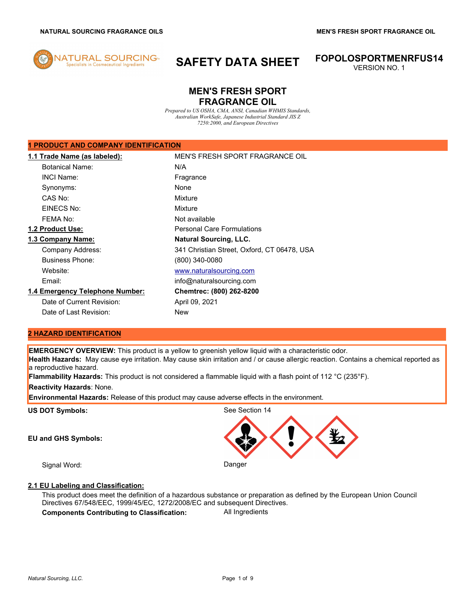

# **SAFETY DATA SHEET FOPOLOSPORTMENRFUS14**

VERSION NO. 1

# **MEN'S FRESH SPORT FRAGRANCE OIL**

*Prepared to US OSHA, CMA, ANSI, Canadian WHMIS Standards, Australian WorkSafe, Japanese Industrial Standard JIS Z 7250:2000, and European Directives*

# **1 PRODUCT AND COMPANY IDENTIFICATION**

| 1.1 Trade Name (as labeled):    | MEN'S FRESH SPORT FRAGRANCE OIL             |
|---------------------------------|---------------------------------------------|
| <b>Botanical Name:</b>          | N/A                                         |
| <b>INCI Name:</b>               | Fragrance                                   |
| Synonyms:                       | <b>None</b>                                 |
| CAS No:                         | Mixture                                     |
| EINECS No:                      | Mixture                                     |
| FEMA No:                        | Not available                               |
| 1.2 Product Use:                | <b>Personal Care Formulations</b>           |
| 1.3 Company Name:               | <b>Natural Sourcing, LLC.</b>               |
| Company Address:                | 341 Christian Street, Oxford, CT 06478, USA |
| <b>Business Phone:</b>          | (800) 340-0080                              |
| Website:                        | www.naturalsourcing.com                     |
| Email:                          | info@naturalsourcing.com                    |
| 1.4 Emergency Telephone Number: | Chemtrec: (800) 262-8200                    |
| Date of Current Revision:       | April 09, 2021                              |
| Date of Last Revision:          | New                                         |

# **2 HAZARD IDENTIFICATION**

**EMERGENCY OVERVIEW:** This product is a yellow to greenish yellow liquid with a characteristic odor.

**Health Hazards:** May cause eye irritation. May cause skin irritation and / or cause allergic reaction. Contains a chemical reported as a reproductive hazard.

**Flammability Hazards:** This product is not considered a flammable liquid with a flash point of 112 °C (235°F).

**Reactivity Hazards**: None.

**Environmental Hazards:** Release of this product may cause adverse effects in the environment.

**EU and GHS Symbols:**



# **2.1 EU Labeling and Classification:**

This product does meet the definition of a hazardous substance or preparation as defined by the European Union Council Directives 67/548/EEC, 1999/45/EC, 1272/2008/EC and subsequent Directives. **Components Contributing to Classification:** All Ingredients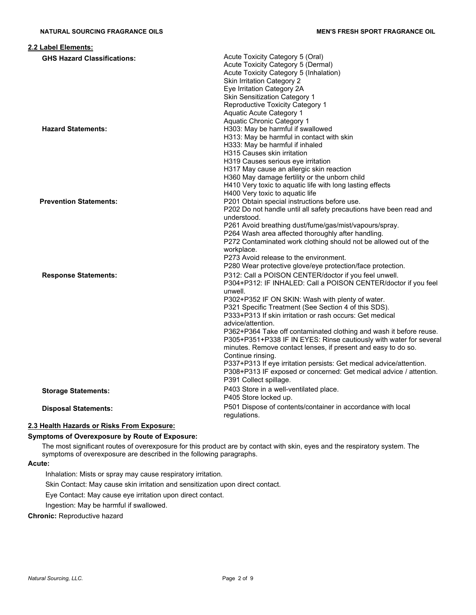| 2.2 Label Elements:                |                                                                                                                                                                                                                                                                                                                                                                                                                                                                                                                                                                                                                                                                                                                                          |
|------------------------------------|------------------------------------------------------------------------------------------------------------------------------------------------------------------------------------------------------------------------------------------------------------------------------------------------------------------------------------------------------------------------------------------------------------------------------------------------------------------------------------------------------------------------------------------------------------------------------------------------------------------------------------------------------------------------------------------------------------------------------------------|
| <b>GHS Hazard Classifications:</b> | Acute Toxicity Category 5 (Oral)<br>Acute Toxicity Category 5 (Dermal)<br>Acute Toxicity Category 5 (Inhalation)<br>Skin Irritation Category 2<br>Eye Irritation Category 2A<br><b>Skin Sensitization Category 1</b><br>Reproductive Toxicity Category 1<br><b>Aquatic Acute Category 1</b>                                                                                                                                                                                                                                                                                                                                                                                                                                              |
| <b>Hazard Statements:</b>          | <b>Aquatic Chronic Category 1</b><br>H303: May be harmful if swallowed<br>H313: May be harmful in contact with skin<br>H333: May be harmful if inhaled<br>H315 Causes skin irritation<br>H319 Causes serious eye irritation<br>H317 May cause an allergic skin reaction<br>H360 May damage fertility or the unborn child<br>H410 Very toxic to aquatic life with long lasting effects<br>H400 Very toxic to aquatic life                                                                                                                                                                                                                                                                                                                 |
| <b>Prevention Statements:</b>      | P201 Obtain special instructions before use.<br>P202 Do not handle until all safety precautions have been read and<br>understood.<br>P261 Avoid breathing dust/fume/gas/mist/vapours/spray.<br>P264 Wash area affected thoroughly after handling.<br>P272 Contaminated work clothing should not be allowed out of the<br>workplace.<br>P273 Avoid release to the environment.<br>P280 Wear protective glove/eye protection/face protection.                                                                                                                                                                                                                                                                                              |
| <b>Response Statements:</b>        | P312: Call a POISON CENTER/doctor if you feel unwell.<br>P304+P312: IF INHALED: Call a POISON CENTER/doctor if you feel<br>unwell.<br>P302+P352 IF ON SKIN: Wash with plenty of water.<br>P321 Specific Treatment (See Section 4 of this SDS).<br>P333+P313 If skin irritation or rash occurs: Get medical<br>advice/attention.<br>P362+P364 Take off contaminated clothing and wash it before reuse.<br>P305+P351+P338 IF IN EYES: Rinse cautiously with water for several<br>minutes. Remove contact lenses, if present and easy to do so.<br>Continue rinsing.<br>P337+P313 If eye irritation persists: Get medical advice/attention.<br>P308+P313 IF exposed or concerned: Get medical advice / attention.<br>P391 Collect spillage. |
| <b>Storage Statements:</b>         | P403 Store in a well-ventilated place.<br>P405 Store locked up.                                                                                                                                                                                                                                                                                                                                                                                                                                                                                                                                                                                                                                                                          |
| <b>Disposal Statements:</b>        | P501 Dispose of contents/container in accordance with local<br>regulations.                                                                                                                                                                                                                                                                                                                                                                                                                                                                                                                                                                                                                                                              |

# **2.3 Health Hazards or Risks From Exposure:**

# **Symptoms of Overexposure by Route of Exposure:**

The most significant routes of overexposure for this product are by contact with skin, eyes and the respiratory system. The symptoms of overexposure are described in the following paragraphs.

# **Acute:**

Inhalation: Mists or spray may cause respiratory irritation.

Skin Contact: May cause skin irritation and sensitization upon direct contact.

Eye Contact: May cause eye irritation upon direct contact.

Ingestion: May be harmful if swallowed.

**Chronic:** Reproductive hazard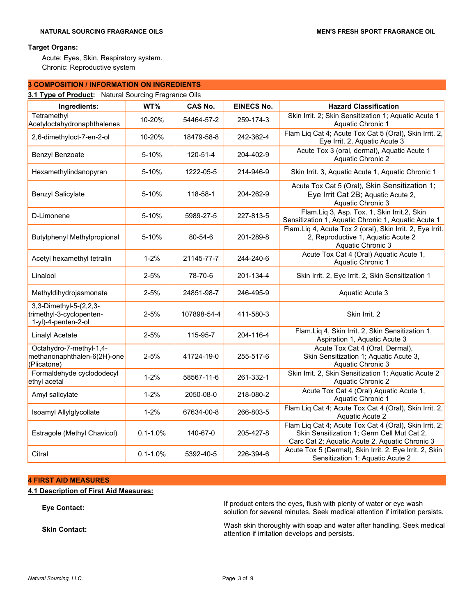# **Target Organs:**

Acute: Eyes, Skin, Respiratory system. Chronic: Reproductive system

# **3 COMPOSITION / INFORMATION ON INGREDIENTS**

| 3.1 Type of Product: Natural Sourcing Fragrance Oils                      |               |                |                   |                                                                                                                                                        |
|---------------------------------------------------------------------------|---------------|----------------|-------------------|--------------------------------------------------------------------------------------------------------------------------------------------------------|
| Ingredients:                                                              | WT%           | <b>CAS No.</b> | <b>EINECS No.</b> | <b>Hazard Classification</b>                                                                                                                           |
| Tetramethyl<br>Acetyloctahydronaphthalenes                                | 10-20%        | 54464-57-2     | 259-174-3         | Skin Irrit. 2; Skin Sensitization 1; Aquatic Acute 1<br>Aquatic Chronic 1                                                                              |
| 2,6-dimethyloct-7-en-2-ol                                                 | 10-20%        | 18479-58-8     | 242-362-4         | Flam Liq Cat 4; Acute Tox Cat 5 (Oral), Skin Irrit. 2,<br>Eye Irrit. 2, Aquatic Acute 3                                                                |
| Benzyl Benzoate                                                           | 5-10%         | 120-51-4       | 204-402-9         | Acute Tox 3 (oral, dermal), Aquatic Acute 1<br>Aquatic Chronic 2                                                                                       |
| Hexamethylindanopyran                                                     | 5-10%         | 1222-05-5      | 214-946-9         | Skin Irrit. 3, Aquatic Acute 1, Aquatic Chronic 1                                                                                                      |
| <b>Benzyl Salicylate</b>                                                  | 5-10%         | 118-58-1       | 204-262-9         | Acute Tox Cat 5 (Oral), Skin Sensitization 1;<br>Eye Irrit Cat 2B; Aquatic Acute 2,<br>Aquatic Chronic 3                                               |
| D-Limonene                                                                | 5-10%         | 5989-27-5      | 227-813-5         | Flam.Liq 3, Asp. Tox. 1, Skin Irrit.2, Skin<br>Sensitization 1, Aquatic Chronic 1, Aquatic Acute 1                                                     |
| <b>Butylphenyl Methylpropional</b>                                        | 5-10%         | $80 - 54 - 6$  | 201-289-8         | Flam.Liq 4, Acute Tox 2 (oral), Skin Irrit. 2, Eye Irrit.<br>2, Reproductive 1, Aquatic Acute 2<br>Aquatic Chronic 3                                   |
| Acetyl hexamethyl tetralin                                                | $1 - 2%$      | 21145-77-7     | 244-240-6         | Acute Tox Cat 4 (Oral) Aquatic Acute 1,<br>Aquatic Chronic 1                                                                                           |
| Linalool                                                                  | $2 - 5%$      | 78-70-6        | 201-134-4         | Skin Irrit. 2, Eye Irrit. 2, Skin Sensitization 1                                                                                                      |
| Methyldihydrojasmonate                                                    | $2 - 5%$      | 24851-98-7     | 246-495-9         | Aquatic Acute 3                                                                                                                                        |
| 3,3-Dimethyl-5-(2,2,3-<br>trimethyl-3-cyclopenten-<br>1-yl)-4-penten-2-ol | $2 - 5%$      | 107898-54-4    | 411-580-3         | Skin Irrit, 2                                                                                                                                          |
| Linalyl Acetate                                                           | $2 - 5%$      | 115-95-7       | 204-116-4         | Flam.Liq 4, Skin Irrit. 2, Skin Sensitization 1,<br>Aspiration 1, Aquatic Acute 3                                                                      |
| Octahydro-7-methyl-1,4-<br>methanonaphthalen-6(2H)-one<br>(Plicatone)     | $2 - 5%$      | 41724-19-0     | 255-517-6         | Acute Tox Cat 4 (Oral, Dermal),<br>Skin Sensitization 1; Aquatic Acute 3,<br>Aquatic Chronic 3                                                         |
| Formaldehyde cyclododecyl<br>ethyl acetal                                 | $1 - 2%$      | 58567-11-6     | 261-332-1         | Skin Irrit. 2, Skin Sensitization 1; Aquatic Acute 2<br>Aquatic Chronic 2                                                                              |
| Amyl salicylate                                                           | $1 - 2%$      | 2050-08-0      | 218-080-2         | Acute Tox Cat 4 (Oral) Aquatic Acute 1,<br>Aquatic Chronic 1                                                                                           |
| Isoamyl Allylglycollate                                                   | $1 - 2%$      | 67634-00-8     | 266-803-5         | Flam Liq Cat 4; Acute Tox Cat 4 (Oral), Skin Irrit. 2,<br>Aquatic Acute 2                                                                              |
| Estragole (Methyl Chavicol)                                               | $0.1 - 1.0\%$ | 140-67-0       | 205-427-8         | Flam Liq Cat 4; Acute Tox Cat 4 (Oral), Skin Irrit. 2;<br>Skin Sensitization 1; Germ Cell Mut Cat 2,<br>Carc Cat 2; Aquatic Acute 2, Aquatic Chronic 3 |
| Citral                                                                    | $0.1 - 1.0\%$ | 5392-40-5      | 226-394-6         | Acute Tox 5 (Dermal), Skin Irrit. 2, Eye Irrit. 2, Skin<br>Sensitization 1; Aquatic Acute 2                                                            |

# **4 FIRST AID MEASURES**

# **4.1 Description of First Aid Measures:**

**Eye Contact:** If product enters the eyes, flush with plenty of water or eye wash if product enters the eyes, flush with plenty of water or eye wash if the expectation of the expectation of the expectation of the expectati solution for several minutes. Seek medical attention if irritation persists. **Skin Contact:** Wash skin thoroughly with soap and water after handling. Seek medical attention if irritation develops and persists.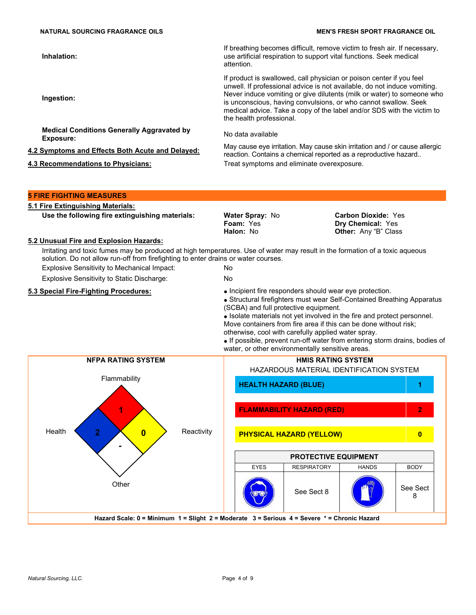**Inhalation:**

**Ingestion:**

**Medical Conditions Generally Aggravated by Exposure:** No data available

If breathing becomes difficult, remove victim to fresh air. If necessary, use artificial respiration to support vital functions. Seek medical attention.

If product is swallowed, call physician or poison center if you feel unwell. If professional advice is not available, do not induce vomiting. Never induce vomiting or give dilutents (milk or water) to someone who is unconscious, having convulsions, or who cannot swallow. Seek medical advice. Take a copy of the label and/or SDS with the victim to the health professional.

**4.2 Symptoms and Effects Both Acute and Delayed:** May cause eye irritation. May cause skin irritation and / or cause allergic reaction. Contains a chemical reported as a reproductive hazard.. **4.3 Recommendations to Physicians:** Treat symptoms and eliminate overexposure.

# **5 FIRE FIGHTING MEASURES**

# **5.1 Fire Extinguishing Materials:**

**Use the following fire extinguishing materials: Water Spray: No.** 

# **5.2 Unusual Fire and Explosion Hazards:**

Irritating and toxic fumes may be produced at high temperatures. Use of water may result in the formation of a toxic aqueous solution. Do not allow run-off from firefighting to enter drains or water courses.

Explosive Sensitivity to Mechanical Impact: No

Explosive Sensitivity to Static Discharge: No

**Foam:** Yes **Halon:** No

**Carbon Dioxide:** Yes **Dry Chemical:** Yes **Other:** Any "B" Class

**5.3 Special Fire-Fighting Procedures:**  $\bullet$  Incipient fire responders should wear eye protection.

 Structural firefighters must wear Self-Contained Breathing Apparatus (SCBA) and full protective equipment.

• Isolate materials not yet involved in the fire and protect personnel. Move containers from fire area if this can be done without risk; otherwise, cool with carefully applied water spray.

• If possible, prevent run-off water from entering storm drains, bodies of water, or other environmentally sensitive areas.

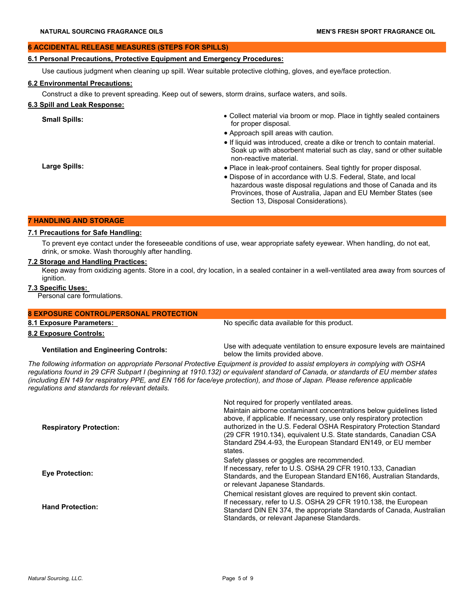# **6 ACCIDENTAL RELEASE MEASURES (STEPS FOR SPILLS)**

# **6.1 Personal Precautions, Protective Equipment and Emergency Procedures:**

Use cautious judgment when cleaning up spill. Wear suitable protective clothing, gloves, and eye/face protection.

# **6.2 Environmental Precautions:**

Construct a dike to prevent spreading. Keep out of sewers, storm drains, surface waters, and soils.

# **6.3 Spill and Leak Response:**

- **Small Spills:** Small Spills: for proper disposal.
	- Approach spill areas with caution.
	- If liquid was introduced, create a dike or trench to contain material. Soak up with absorbent material such as clay, sand or other suitable non-reactive material.
	- Place in leak-proof containers. Seal tightly for proper disposal.
	- Dispose of in accordance with U.S. Federal, State, and local hazardous waste disposal regulations and those of Canada and its Provinces, those of Australia, Japan and EU Member States (see Section 13, Disposal Considerations).

# **7 HANDLING AND STORAGE**

#### **7.1 Precautions for Safe Handling:**

To prevent eye contact under the foreseeable conditions of use, wear appropriate safety eyewear. When handling, do not eat, drink, or smoke. Wash thoroughly after handling.

# **7.2 Storage and Handling Practices:**

Keep away from oxidizing agents. Store in a cool, dry location, in a sealed container in a well-ventilated area away from sources of ignition.

#### **7.3 Specific Uses:**

Personal care formulations.

# **8 EXPOSURE CONTROL/PERSONAL PROTECTION 8.1 Exposure Parameters: No specific data available for this product.** No specific data available for this product. **8.2 Exposure Controls:**

**Ventilation and Engineering Controls:** Use with adequate ventilation to ensure exposure levels are maintained below the limits provided above.

*The following information on appropriate Personal Protective Equipment is provided to assist employers in complying with OSHA regulations found in 29 CFR Subpart I (beginning at 1910.132) or equivalent standard of Canada, or standards of EU member states (including EN 149 for respiratory PPE, and EN 166 for face/eye protection), and those of Japan. Please reference applicable regulations and standards for relevant details.*

| <b>Respiratory Protection:</b> | Not required for properly ventilated areas.<br>Maintain airborne contaminant concentrations below quidelines listed<br>above, if applicable. If necessary, use only respiratory protection<br>authorized in the U.S. Federal OSHA Respiratory Protection Standard<br>(29 CFR 1910.134), equivalent U.S. State standards, Canadian CSA<br>Standard Z94.4-93, the European Standard EN149, or EU member<br>states. |
|--------------------------------|------------------------------------------------------------------------------------------------------------------------------------------------------------------------------------------------------------------------------------------------------------------------------------------------------------------------------------------------------------------------------------------------------------------|
| <b>Eve Protection:</b>         | Safety glasses or goggles are recommended.<br>If necessary, refer to U.S. OSHA 29 CFR 1910.133, Canadian<br>Standards, and the European Standard EN166, Australian Standards,<br>or relevant Japanese Standards.                                                                                                                                                                                                 |
| <b>Hand Protection:</b>        | Chemical resistant gloves are required to prevent skin contact.<br>If necessary, refer to U.S. OSHA 29 CFR 1910.138, the European<br>Standard DIN EN 374, the appropriate Standards of Canada, Australian<br>Standards, or relevant Japanese Standards.                                                                                                                                                          |

**Large Spills:**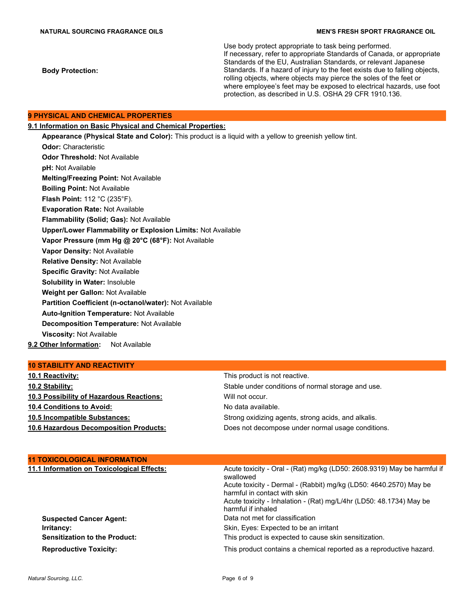**Body Protection:**

Use body protect appropriate to task being performed. If necessary, refer to appropriate Standards of Canada, or appropriate Standards of the EU, Australian Standards, or relevant Japanese Standards. If a hazard of injury to the feet exists due to falling objects, rolling objects, where objects may pierce the soles of the feet or where employee's feet may be exposed to electrical hazards, use foot protection, as described in U.S. OSHA 29 CFR 1910.136.

# **9 PHYSICAL AND CHEMICAL PROPERTIES**

# **9.1 Information on Basic Physical and Chemical Properties:**

**Appearance (Physical State and Color):** This product is a liquid with a yellow to greenish yellow tint. **Odor:** Characteristic **Odor Threshold:** Not Available **pH:** Not Available **Melting/Freezing Point:** Not Available **Boiling Point:** Not Available **Flash Point:** 112 °C (235°F). **Evaporation Rate:** Not Available **Flammability (Solid; Gas):** Not Available **Upper/Lower Flammability or Explosion Limits:** Not Available **Vapor Pressure (mm Hg @ 20°C (68°F):** Not Available **Vapor Density:** Not Available **Relative Density:** Not Available **Specific Gravity:** Not Available **Solubility in Water:** Insoluble **Weight per Gallon:** Not Available **Partition Coefficient (n-octanol/water):** Not Available **Auto-Ignition Temperature:** Not Available **Decomposition Temperature:** Not Available **Viscosity:** Not Available **9.2 Other Information:** Not Available

# **10 STABILITY AND REACTIVITY**

| 10.1 Reactivity:                         |  |
|------------------------------------------|--|
| 10.2 Stability:                          |  |
| 10.3 Possibility of Hazardous Reactions: |  |
| <b>10.4 Conditions to Avoid:</b>         |  |
| 10.5 Incompatible Substances:            |  |
| 10 6 Hazardous Decomposition Products:   |  |

This product is not reactive. Stable under conditions of normal storage and use. **10.3 Possibility of Hazardous Reactions:** Will not occur. No data available. Strong oxidizing agents, strong acids, and alkalis. Does not decompose under normal usage conditions.

| <b>11 TOXICOLOGICAL INFORMATION</b>        |                                                                                                                                                                                                                                                                  |
|--------------------------------------------|------------------------------------------------------------------------------------------------------------------------------------------------------------------------------------------------------------------------------------------------------------------|
| 11.1 Information on Toxicological Effects: | Acute toxicity - Oral - (Rat) mg/kg (LD50: 2608.9319) May be harmful if<br>swallowed<br>Acute toxicity - Dermal - (Rabbit) mg/kg (LD50: 4640.2570) May be<br>harmful in contact with skin<br>Acute toxicity - Inhalation - (Rat) mg/L/4hr (LD50: 48.1734) May be |
|                                            | harmful if inhaled                                                                                                                                                                                                                                               |
| <b>Suspected Cancer Agent:</b>             | Data not met for classification                                                                                                                                                                                                                                  |
| <b>Irritancy:</b>                          | Skin, Eyes: Expected to be an irritant                                                                                                                                                                                                                           |
| <b>Sensitization to the Product:</b>       | This product is expected to cause skin sensitization.                                                                                                                                                                                                            |
| <b>Reproductive Toxicity:</b>              | This product contains a chemical reported as a reproductive hazard.                                                                                                                                                                                              |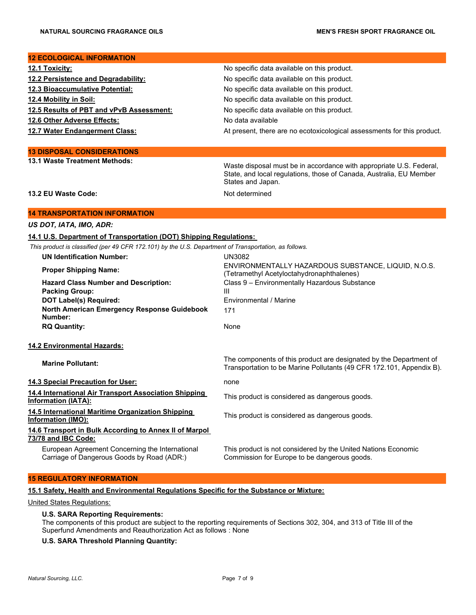# **12 ECOLOGICAL INFORMATION**

| <u>12.1 Toxicity:</u>                    | No specific data available on this product.                             |
|------------------------------------------|-------------------------------------------------------------------------|
| 12.2 Persistence and Degradability:      | No specific data available on this product.                             |
| 12.3 Bioaccumulative Potential:          | No specific data available on this product.                             |
| 12.4 Mobility in Soil:                   | No specific data available on this product.                             |
| 12.5 Results of PBT and vPvB Assessment: | No specific data available on this product.                             |
| 12.6 Other Adverse Effects:              | No data available                                                       |
| 12.7 Water Endangerment Class:           | At present, there are no ecotoxicological assessments for this product. |

#### **13 DISPOSAL CONSIDERATIONS**

**13.1 Waste Treatment Methods:** Waste disposal must be in accordance with appropriate U.S. Federal, State, and local regulations, those of Canada, Australia, EU Member States and Japan.

**13.2 EU Waste Code:** Not determined

# **14 TRANSPORTATION INFORMATION**

# *US DOT, IATA, IMO, ADR:*

# **14.1 U.S. Department of Transportation (DOT) Shipping Regulations:**

*This product is classified (per 49 CFR 172.101) by the U.S. Department of Transportation, as follows.*

| <b>UN Identification Number:</b>                                                              | <b>UN3082</b>                                                                                                                              |
|-----------------------------------------------------------------------------------------------|--------------------------------------------------------------------------------------------------------------------------------------------|
| <b>Proper Shipping Name:</b>                                                                  | ENVIRONMENTALLY HAZARDOUS SUBSTANCE, LIQUID, N.O.S.<br>(Tetramethyl Acetyloctahydronaphthalenes)                                           |
| <b>Hazard Class Number and Description:</b>                                                   | Class 9 - Environmentally Hazardous Substance                                                                                              |
| <b>Packing Group:</b>                                                                         | Ш                                                                                                                                          |
| DOT Label(s) Required:                                                                        | Environmental / Marine                                                                                                                     |
| North American Emergency Response Guidebook<br>Number:                                        | 171                                                                                                                                        |
| <b>RQ Quantity:</b>                                                                           | None                                                                                                                                       |
| 14.2 Environmental Hazards:                                                                   |                                                                                                                                            |
| <b>Marine Pollutant:</b>                                                                      | The components of this product are designated by the Department of<br>Transportation to be Marine Pollutants (49 CFR 172.101, Appendix B). |
| 14.3 Special Precaution for User:                                                             | none                                                                                                                                       |
| 14.4 International Air Transport Association Shipping<br><b>Information (IATA):</b>           | This product is considered as dangerous goods.                                                                                             |
| 14.5 International Maritime Organization Shipping<br>Information (IMO):                       | This product is considered as dangerous goods.                                                                                             |
| 14.6 Transport in Bulk According to Annex II of Marpol<br>73/78 and IBC Code:                 |                                                                                                                                            |
| European Agreement Concerning the International<br>Carriage of Dangerous Goods by Road (ADR:) | This product is not considered by the United Nations Economic<br>Commission for Europe to be dangerous goods.                              |
|                                                                                               |                                                                                                                                            |

# **15 REGULATORY INFORMATION**

**15.1 Safety, Health and Environmental Regulations Specific for the Substance or Mixture:**

United States Regulations:

#### **U.S. SARA Reporting Requirements:**

The components of this product are subject to the reporting requirements of Sections 302, 304, and 313 of Title III of the Superfund Amendments and Reauthorization Act as follows : None

# **U.S. SARA Threshold Planning Quantity:**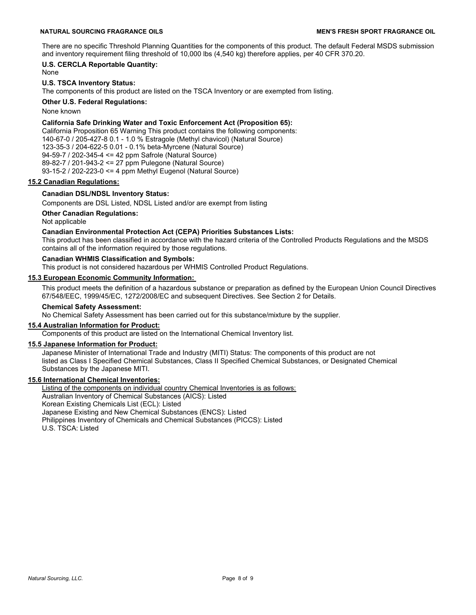#### **NATURAL SOURCING FRAGRANCE OILS MEN'S FRESH SPORT FRAGRANCE OIL**

There are no specific Threshold Planning Quantities for the components of this product. The default Federal MSDS submission and inventory requirement filing threshold of 10,000 lbs (4,540 kg) therefore applies, per 40 CFR 370.20.

# **U.S. CERCLA Reportable Quantity:**

None

### **U.S. TSCA Inventory Status:**

The components of this product are listed on the TSCA Inventory or are exempted from listing.

# **Other U.S. Federal Regulations:**

None known

### **California Safe Drinking Water and Toxic Enforcement Act (Proposition 65):**

California Proposition 65 Warning This product contains the following components: 140-67-0 / 205-427-8 0.1 - 1.0 % Estragole (Methyl chavicol) (Natural Source) 123-35-3 / 204-622-5 0.01 - 0.1% beta-Myrcene (Natural Source) 94-59-7 / 202-345-4 <= 42 ppm Safrole (Natural Source) 89-82-7 / 201-943-2 <= 27 ppm Pulegone (Natural Source)

93-15-2 / 202-223-0 <= 4 ppm Methyl Eugenol (Natural Source)

# **15.2 Canadian Regulations:**

# **Canadian DSL/NDSL Inventory Status:**

Components are DSL Listed, NDSL Listed and/or are exempt from listing

**Other Canadian Regulations:**

Not applicable

# **Canadian Environmental Protection Act (CEPA) Priorities Substances Lists:**

This product has been classified in accordance with the hazard criteria of the Controlled Products Regulations and the MSDS contains all of the information required by those regulations.

# **Canadian WHMIS Classification and Symbols:**

This product is not considered hazardous per WHMIS Controlled Product Regulations.

# **15.3 European Economic Community Information:**

This product meets the definition of a hazardous substance or preparation as defined by the European Union Council Directives 67/548/EEC, 1999/45/EC, 1272/2008/EC and subsequent Directives. See Section 2 for Details.

# **Chemical Safety Assessment:**

No Chemical Safety Assessment has been carried out for this substance/mixture by the supplier.

### **15.4 Australian Information for Product:**

Components of this product are listed on the International Chemical Inventory list.

#### **15.5 Japanese Information for Product:**

Japanese Minister of International Trade and Industry (MITI) Status: The components of this product are not listed as Class I Specified Chemical Substances, Class II Specified Chemical Substances, or Designated Chemical Substances by the Japanese MITI.

#### **15.6 International Chemical Inventories:**

Listing of the components on individual country Chemical Inventories is as follows: Australian Inventory of Chemical Substances (AICS): Listed Korean Existing Chemicals List (ECL): Listed Japanese Existing and New Chemical Substances (ENCS): Listed Philippines Inventory of Chemicals and Chemical Substances (PICCS): Listed U.S. TSCA: Listed